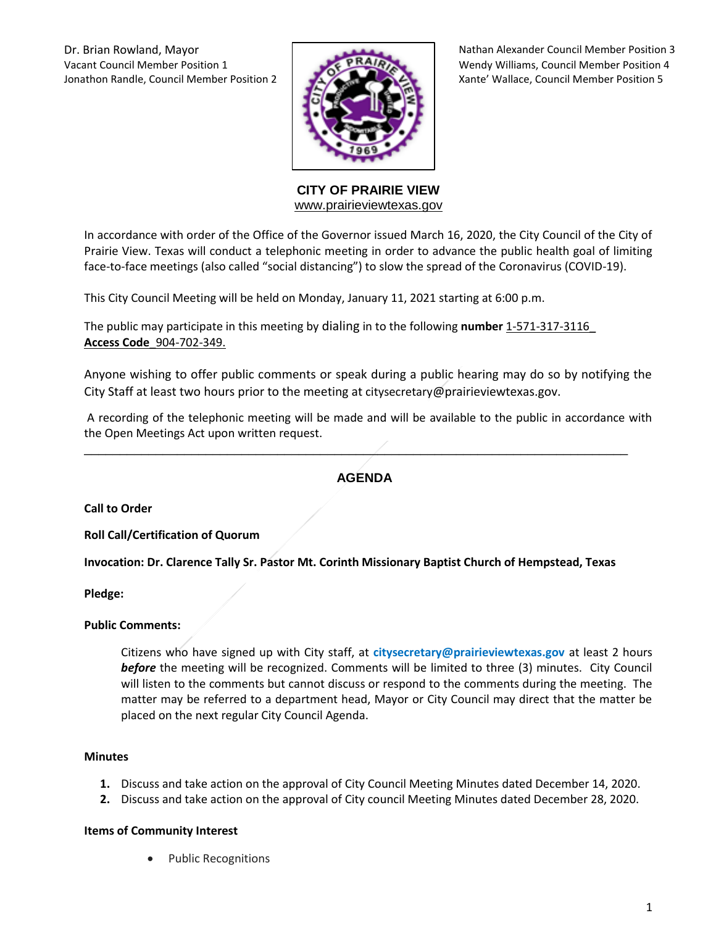Vacant Council Member Position 1 **WERGALA ARTICIAL MEMBER WEND WENDS** Wendy Williams, Council Member Position 4 Jonathon Randle, Council Member Position 2 Xante Xante' Wallace, Council Member Position 5



Dr. Brian Rowland, Mayor Nathan Alexander Council Member Position 3

**CITY OF PRAIRIE VIEW**  [www.prairieviewtexas.gov](http://www.prairieviewtexas.gov/)

In accordance with order of the Office of the Governor issued March 16, 2020, the City Council of the City of Prairie View. Texas will conduct a telephonic meeting in order to advance the public health goal of limiting face-to-face meetings (also called "social distancing") to slow the spread of the Coronavirus (COVID-19).

This City Council Meeting will be held on Monday, January 11, 2021 starting at 6:00 p.m.

The public may participate in this meeting by dialing in to the following **number** 1-571-317-3116\_ **Access Code**\_904-702-349.

Anyone wishing to offer public comments or speak during a public hearing may do so by notifying the City Staff at least two hours prior to the meeting at citysecretary@prairieviewtexas.gov.

A recording of the telephonic meeting will be made and will be available to the public in accordance with the Open Meetings Act upon written request.

# **AGENDA**

\_\_\_\_\_\_\_\_\_\_\_\_\_\_\_\_\_\_\_\_\_\_\_\_\_\_\_\_\_\_\_\_\_\_\_\_\_\_\_\_\_\_\_\_\_\_\_\_\_\_\_\_\_\_\_\_\_\_\_\_\_\_\_\_\_\_\_\_\_\_\_\_\_\_\_\_

**Call to Order**

**Roll Call/Certification of Quorum**

**Invocation: Dr. Clarence Tally Sr. Pastor Mt. Corinth Missionary Baptist Church of Hempstead, Texas** 

**Pledge:** 

# **Public Comments:**

Citizens who have signed up with City staff, at **citysecretary@prairieviewtexas.gov** at least 2 hours *before* the meeting will be recognized. Comments will be limited to three (3) minutes. City Council will listen to the comments but cannot discuss or respond to the comments during the meeting. The matter may be referred to a department head, Mayor or City Council may direct that the matter be placed on the next regular City Council Agenda.

#### **Minutes**

- **1.** Discuss and take action on the approval of City Council Meeting Minutes dated December 14, 2020.
- **2.** Discuss and take action on the approval of City council Meeting Minutes dated December 28, 2020.

#### **Items of Community Interest**

Public Recognitions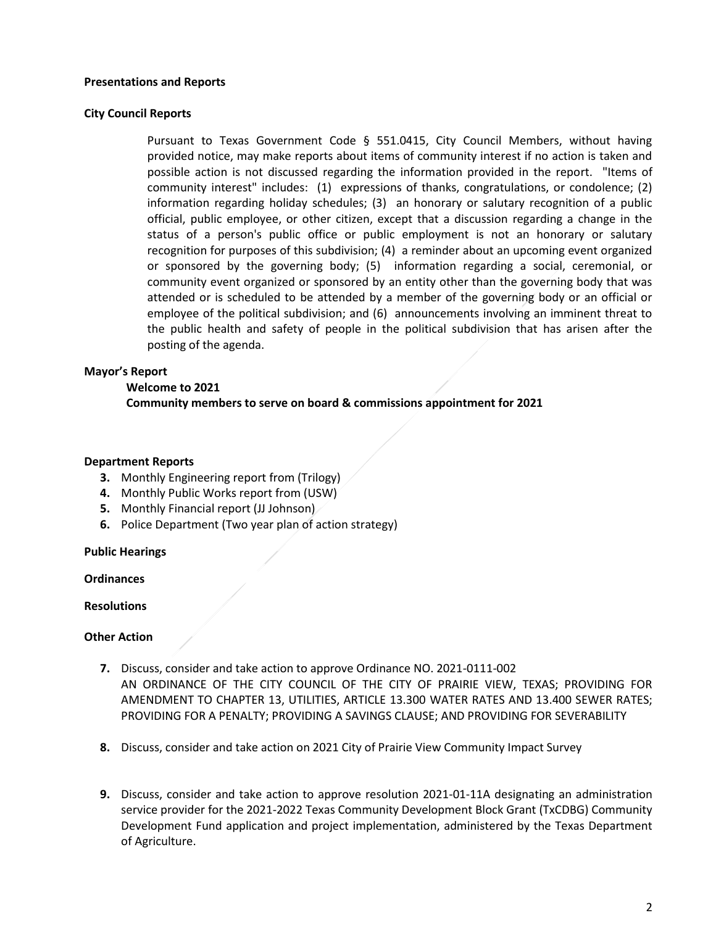#### **Presentations and Reports**

#### **City Council Reports**

Pursuant to Texas Government Code § 551.0415, City Council Members, without having provided notice, may make reports about items of community interest if no action is taken and possible action is not discussed regarding the information provided in the report. "Items of community interest" includes: (1) expressions of thanks, congratulations, or condolence; (2) information regarding holiday schedules; (3) an honorary or salutary recognition of a public official, public employee, or other citizen, except that a discussion regarding a change in the status of a person's public office or public employment is not an honorary or salutary recognition for purposes of this subdivision; (4) a reminder about an upcoming event organized or sponsored by the governing body; (5) information regarding a social, ceremonial, or community event organized or sponsored by an entity other than the governing body that was attended or is scheduled to be attended by a member of the governing body or an official or employee of the political subdivision; and (6) announcements involving an imminent threat to the public health and safety of people in the political subdivision that has arisen after the posting of the agenda.

### **Mayor's Report**

#### **Welcome to 2021**

**Community members to serve on board & commissions appointment for 2021**

### **Department Reports**

- **3.** Monthly Engineering report from (Trilogy)
- **4.** Monthly Public Works report from (USW)
- **5.** Monthly Financial report (JJ Johnson)
- **6.** Police Department (Two year plan of action strategy)

#### **Public Hearings**

**Ordinances**

#### **Resolutions**

#### **Other Action**

- **7.** Discuss, consider and take action to approve Ordinance NO. 2021-0111-002 AN ORDINANCE OF THE CITY COUNCIL OF THE CITY OF PRAIRIE VIEW, TEXAS; PROVIDING FOR AMENDMENT TO CHAPTER 13, UTILITIES, ARTICLE 13.300 WATER RATES AND 13.400 SEWER RATES; PROVIDING FOR A PENALTY; PROVIDING A SAVINGS CLAUSE; AND PROVIDING FOR SEVERABILITY
- **8.** Discuss, consider and take action on 2021 City of Prairie View Community Impact Survey
- **9.** Discuss, consider and take action to approve resolution 2021-01-11A designating an administration service provider for the 2021-2022 Texas Community Development Block Grant (TxCDBG) Community Development Fund application and project implementation, administered by the Texas Department of Agriculture.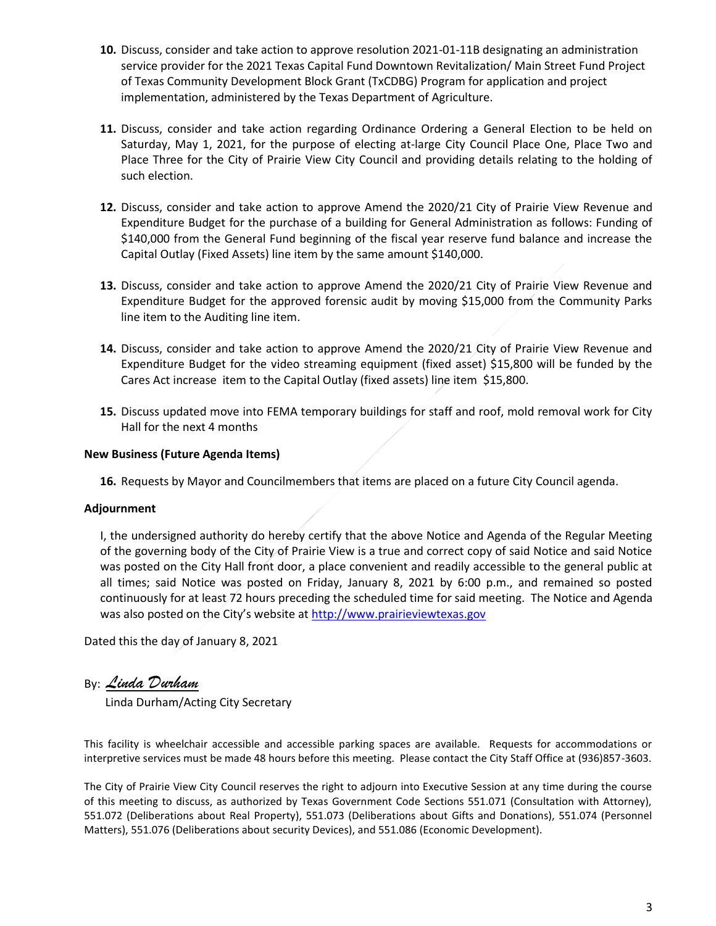- **10.** Discuss, consider and take action to approve resolution 2021-01-11B designating an administration service provider for the 2021 Texas Capital Fund Downtown Revitalization/ Main Street Fund Project of Texas Community Development Block Grant (TxCDBG) Program for application and project implementation, administered by the Texas Department of Agriculture.
- **11.** Discuss, consider and take action regarding Ordinance Ordering a General Election to be held on Saturday, May 1, 2021, for the purpose of electing at-large City Council Place One, Place Two and Place Three for the City of Prairie View City Council and providing details relating to the holding of such election.
- **12.** Discuss, consider and take action to approve Amend the 2020/21 City of Prairie View Revenue and Expenditure Budget for the purchase of a building for General Administration as follows: Funding of \$140,000 from the General Fund beginning of the fiscal year reserve fund balance and increase the Capital Outlay (Fixed Assets) line item by the same amount \$140,000.
- **13.** Discuss, consider and take action to approve Amend the 2020/21 City of Prairie View Revenue and Expenditure Budget for the approved forensic audit by moving \$15,000 from the Community Parks line item to the Auditing line item.
- **14.** Discuss, consider and take action to approve Amend the 2020/21 City of Prairie View Revenue and Expenditure Budget for the video streaming equipment (fixed asset) \$15,800 will be funded by the Cares Act increase item to the Capital Outlay (fixed assets) line item \$15,800.
- **15.** Discuss updated move into FEMA temporary buildings for staff and roof, mold removal work for City Hall for the next 4 months

# **New Business (Future Agenda Items)**

**16.** Requests by Mayor and Councilmembers that items are placed on a future City Council agenda.

# **Adjournment**

I, the undersigned authority do hereby certify that the above Notice and Agenda of the Regular Meeting of the governing body of the City of Prairie View is a true and correct copy of said Notice and said Notice was posted on the City Hall front door, a place convenient and readily accessible to the general public at all times; said Notice was posted on Friday, January 8, 2021 by 6:00 p.m., and remained so posted continuously for at least 72 hours preceding the scheduled time for said meeting. The Notice and Agenda was also posted on the City's website at [http://www.prairieviewtexas.gov](http://www.prairieviewtexas.gov/)

Dated this the day of January 8, 2021

By: *Linda Durham*

Linda Durham/Acting City Secretary

This facility is wheelchair accessible and accessible parking spaces are available. Requests for accommodations or interpretive services must be made 48 hours before this meeting. Please contact the City Staff Office at (936)857-3603.

The City of Prairie View City Council reserves the right to adjourn into Executive Session at any time during the course of this meeting to discuss, as authorized by Texas Government Code Sections 551.071 (Consultation with Attorney), 551.072 (Deliberations about Real Property), 551.073 (Deliberations about Gifts and Donations), 551.074 (Personnel Matters), 551.076 (Deliberations about security Devices), and 551.086 (Economic Development).